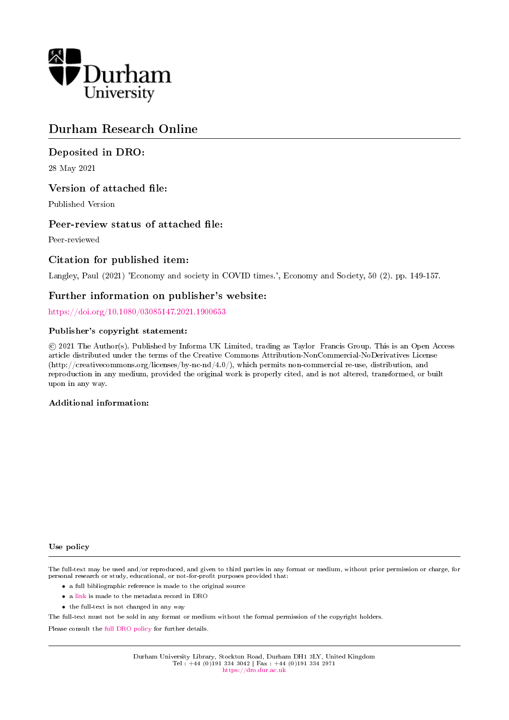

## Durham Research Online

## Deposited in DRO:

28 May 2021

## Version of attached file:

Published Version

## Peer-review status of attached file:

Peer-reviewed

## Citation for published item:

Langley, Paul (2021) 'Economy and society in COVID times.', Economy and Society, 50 (2). pp. 149-157.

## Further information on publisher's website:

<https://doi.org/10.1080/03085147.2021.1900653>

### Publisher's copyright statement:

 c 2021 The Author(s). Published by Informa UK Limited, trading as Taylor Francis Group. This is an Open Access article distributed under the terms of the Creative Commons Attribution-NonCommercial-NoDerivatives License (http://creativecommons.org/licenses/by-nc-nd/4.0/), which permits non-commercial re-use, distribution, and reproduction in any medium, provided the original work is properly cited, and is not altered, transformed, or built upon in any way.

### Additional information:

### Use policy

The full-text may be used and/or reproduced, and given to third parties in any format or medium, without prior permission or charge, for personal research or study, educational, or not-for-profit purposes provided that:

- a full bibliographic reference is made to the original source
- a [link](http://dro.dur.ac.uk/33111/) is made to the metadata record in DRO
- the full-text is not changed in any way

The full-text must not be sold in any format or medium without the formal permission of the copyright holders.

Please consult the [full DRO policy](https://dro.dur.ac.uk/policies/usepolicy.pdf) for further details.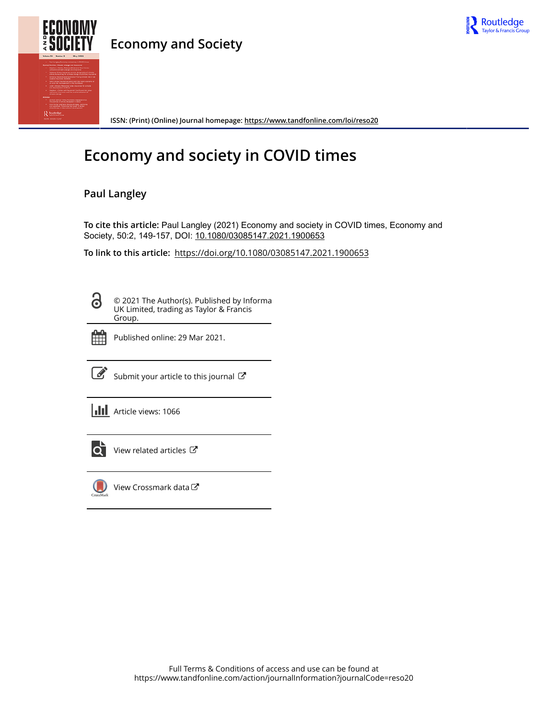

## **Economy and Society**



**ISSN: (Print) (Online) Journal homepage:<https://www.tandfonline.com/loi/reso20>**

# **Economy and society in COVID times**

## **Paul Langley**

**To cite this article:** Paul Langley (2021) Economy and society in COVID times, Economy and Society, 50:2, 149-157, DOI: [10.1080/03085147.2021.1900653](https://www.tandfonline.com/action/showCitFormats?doi=10.1080/03085147.2021.1900653)

**To link to this article:** <https://doi.org/10.1080/03085147.2021.1900653>

8

© 2021 The Author(s). Published by Informa UK Limited, trading as Taylor & Francis Group.



Published online: 29 Mar 2021.

[Submit your article to this journal](https://www.tandfonline.com/action/authorSubmission?journalCode=reso20&show=instructions)  $\mathbb{Z}$ 

**III** Article views: 1066



[View related articles](https://www.tandfonline.com/doi/mlt/10.1080/03085147.2021.1900653) C



[View Crossmark data](http://crossmark.crossref.org/dialog/?doi=10.1080/03085147.2021.1900653&domain=pdf&date_stamp=2021-03-29)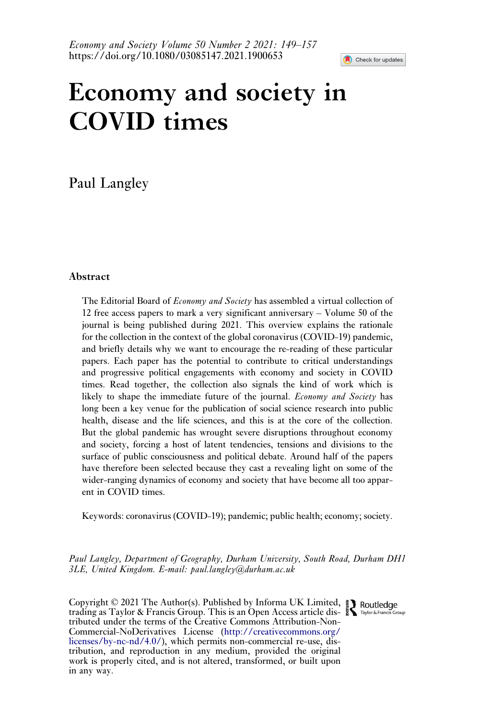

# Economy and society in COVID times

## Paul Langley

### Abstract

The Editorial Board of *Economy and Society* has assembled a virtual collection of 12 free access papers to mark a very significant anniversary – Volume 50 of the journal is being published during 2021. This overview explains the rationale for the collection in the context of the global coronavirus (COVID-19) pandemic, and briefly details why we want to encourage the re-reading of these particular papers. Each paper has the potential to contribute to critical understandings and progressive political engagements with economy and society in COVID times. Read together, the collection also signals the kind of work which is likely to shape the immediate future of the journal. *Economy and Society* has long been a key venue for the publication of social science research into public health, disease and the life sciences, and this is at the core of the collection. But the global pandemic has wrought severe disruptions throughout economy and society, forcing a host of latent tendencies, tensions and divisions to the surface of public consciousness and political debate. Around half of the papers have therefore been selected because they cast a revealing light on some of the wider-ranging dynamics of economy and society that have become all too apparent in COVID times.

Keywords: coronavirus (COVID-19); pandemic; public health; economy; society.

Paul Langley, Department of Geography, Durham University, South Road, Durham DH1 3LE, United Kingdom. E-mail: [paul.langley@durham.ac.uk](mailto:paul.langley@durham.ac.uk)

Copyright © 2021 The Author(s). Published by Informa UK Limited, trading as Taylor & Francis Group. This is an Open Access article distributed under the terms of the Creative Commons Attribution-Non-Commercial-NoDerivatives License ([http://creativecommons.org/](http://creativecommons.org/licenses/by-nc-nd/4.0/) [licenses/by-nc-nd/4.0/\)](http://creativecommons.org/licenses/by-nc-nd/4.0/), which permits non-commercial re-use, distribution, and reproduction in any medium, provided the original work is properly cited, and is not altered, transformed, or built upon in any way.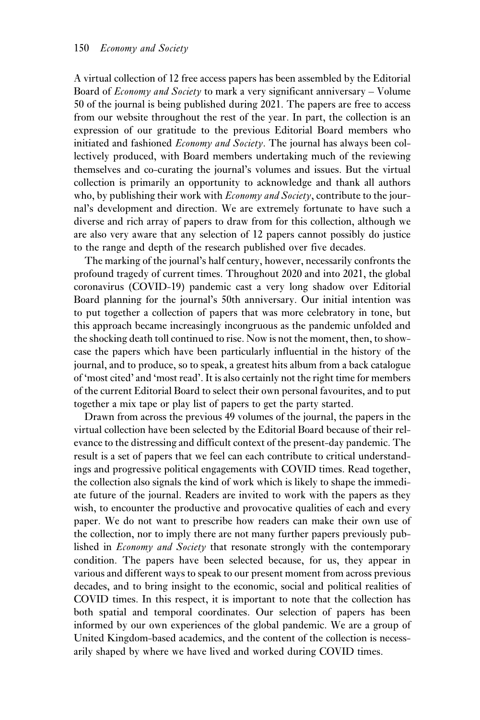A virtual collection of 12 free access papers has been assembled by the Editorial Board of *Economy and Society* to mark a very significant anniversary – Volume 50 of the journal is being published during 2021. The papers are free to access from our website throughout the rest of the year. In part, the collection is an expression of our gratitude to the previous Editorial Board members who initiated and fashioned  $E_{\text{conorm}}$  and  $S_{\text{ociety}}$ . The journal has always been collectively produced, with Board members undertaking much of the reviewing themselves and co-curating the journal's volumes and issues. But the virtual collection is primarily an opportunity to acknowledge and thank all authors who, by publishing their work with *Economy and Society*, contribute to the journal's development and direction. We are extremely fortunate to have such a diverse and rich array of papers to draw from for this collection, although we are also very aware that any selection of 12 papers cannot possibly do justice to the range and depth of the research published over five decades.

The marking of the journal's half century, however, necessarily confronts the profound tragedy of current times. Throughout 2020 and into 2021, the global coronavirus (COVID-19) pandemic cast a very long shadow over Editorial Board planning for the journal's 50th anniversary. Our initial intention was to put together a collection of papers that was more celebratory in tone, but this approach became increasingly incongruous as the pandemic unfolded and the shocking death toll continued to rise. Now is not the moment, then, to showcase the papers which have been particularly influential in the history of the journal, and to produce, so to speak, a greatest hits album from a back catalogue of 'most cited' and 'most read'. It is also certainly not the right time for members of the current Editorial Board to select their own personal favourites, and to put together a mix tape or play list of papers to get the party started.

Drawn from across the previous 49 volumes of the journal, the papers in the virtual collection have been selected by the Editorial Board because of their relevance to the distressing and difficult context of the present-day pandemic. The result is a set of papers that we feel can each contribute to critical understandings and progressive political engagements with COVID times. Read together, the collection also signals the kind of work which is likely to shape the immediate future of the journal. Readers are invited to work with the papers as they wish, to encounter the productive and provocative qualities of each and every paper. We do not want to prescribe how readers can make their own use of the collection, nor to imply there are not many further papers previously published in *Economy and Society* that resonate strongly with the contemporary condition. The papers have been selected because, for us, they appear in various and different ways to speak to our present moment from across previous decades, and to bring insight to the economic, social and political realities of COVID times. In this respect, it is important to note that the collection has both spatial and temporal coordinates. Our selection of papers has been informed by our own experiences of the global pandemic. We are a group of United Kingdom-based academics, and the content of the collection is necessarily shaped by where we have lived and worked during COVID times.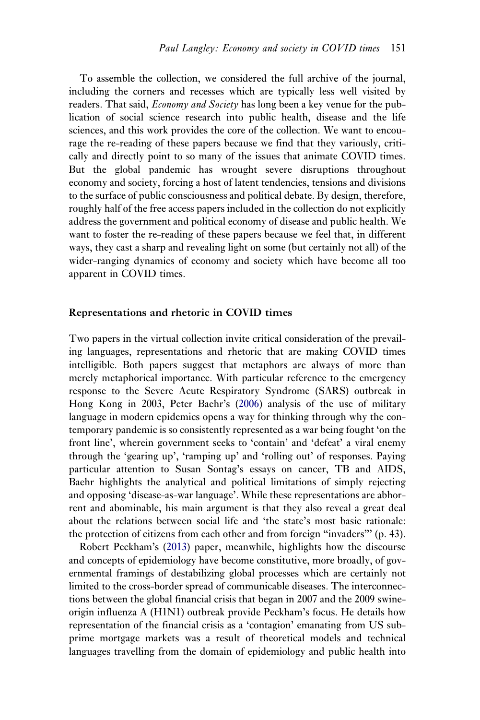To assemble the collection, we considered the full archive of the journal, including the corners and recesses which are typically less well visited by readers. That said, *Economy and Society* has long been a key venue for the publication of social science research into public health, disease and the life sciences, and this work provides the core of the collection. We want to encourage the re-reading of these papers because we find that they variously, critically and directly point to so many of the issues that animate COVID times. But the global pandemic has wrought severe disruptions throughout economy and society, forcing a host of latent tendencies, tensions and divisions to the surface of public consciousness and political debate. By design, therefore, roughly half of the free access papers included in the collection do not explicitly address the government and political economy of disease and public health. We want to foster the re-reading of these papers because we feel that, in different ways, they cast a sharp and revealing light on some (but certainly not all) of the wider-ranging dynamics of economy and society which have become all too apparent in COVID times.

### Representations and rhetoric in COVID times

Two papers in the virtual collection invite critical consideration of the prevailing languages, representations and rhetoric that are making COVID times intelligible. Both papers suggest that metaphors are always of more than merely metaphorical importance. With particular reference to the emergency response to the Severe Acute Respiratory Syndrome (SARS) outbreak in Hong Kong in 2003, Peter Baehr's (2006) analysis of the use of military language in modern epidemics opens a way for thinking through why the contemporary pandemic is so consistently represented as a war being fought 'on the front line', wherein government seeks to 'contain' and 'defeat' a viral enemy through the 'gearing up', 'ramping up' and 'rolling out' of responses. Paying particular attention to Susan Sontag's essays on cancer, TB and AIDS, Baehr highlights the analytical and political limitations of simply rejecting and opposing 'disease-as-war language'. While these representations are abhorrent and abominable, his main argument is that they also reveal a great deal about the relations between social life and 'the state's most basic rationale: the protection of citizens from each other and from foreign "invaders"' (p. 43).

Robert Peckham's (2013) paper, meanwhile, highlights how the discourse and concepts of epidemiology have become constitutive, more broadly, of governmental framings of destabilizing global processes which are certainly not limited to the cross-border spread of communicable diseases. The interconnections between the global financial crisis that began in 2007 and the 2009 swineorigin influenza A (H1N1) outbreak provide Peckham's focus. He details how representation of the financial crisis as a 'contagion' emanating from US subprime mortgage markets was a result of theoretical models and technical languages travelling from the domain of epidemiology and public health into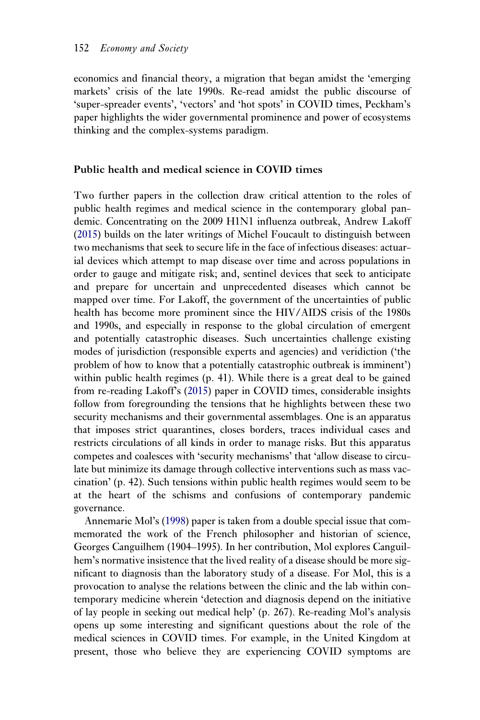economics and financial theory, a migration that began amidst the 'emerging markets' crisis of the late 1990s. Re-read amidst the public discourse of 'super-spreader events', 'vectors' and 'hot spots' in COVID times, Peckham's paper highlights the wider governmental prominence and power of ecosystems thinking and the complex-systems paradigm.

### Public health and medical science in COVID times

Two further papers in the collection draw critical attention to the roles of public health regimes and medical science in the contemporary global pandemic. Concentrating on the 2009 H1N1 influenza outbreak, Andrew Lakoff (2015) builds on the later writings of Michel Foucault to distinguish between two mechanisms that seek to secure life in the face of infectious diseases: actuarial devices which attempt to map disease over time and across populations in order to gauge and mitigate risk; and, sentinel devices that seek to anticipate and prepare for uncertain and unprecedented diseases which cannot be mapped over time. For Lakoff, the government of the uncertainties of public health has become more prominent since the HIV/AIDS crisis of the 1980s and 1990s, and especially in response to the global circulation of emergent and potentially catastrophic diseases. Such uncertainties challenge existing modes of jurisdiction (responsible experts and agencies) and veridiction ('the problem of how to know that a potentially catastrophic outbreak is imminent') within public health regimes (p. 41). While there is a great deal to be gained from re-reading Lakoff's (2015) paper in COVID times, considerable insights follow from foregrounding the tensions that he highlights between these two security mechanisms and their governmental assemblages. One is an apparatus that imposes strict quarantines, closes borders, traces individual cases and restricts circulations of all kinds in order to manage risks. But this apparatus competes and coalesces with 'security mechanisms' that 'allow disease to circulate but minimize its damage through collective interventions such as mass vaccination' (p. 42). Such tensions within public health regimes would seem to be at the heart of the schisms and confusions of contemporary pandemic governance.

Annemarie Mol's (1998) paper is taken from a double special issue that commemorated the work of the French philosopher and historian of science, Georges Canguilhem (1904–1995). In her contribution, Mol explores Canguilhem's normative insistence that the lived reality of a disease should be more significant to diagnosis than the laboratory study of a disease. For Mol, this is a provocation to analyse the relations between the clinic and the lab within contemporary medicine wherein 'detection and diagnosis depend on the initiative of lay people in seeking out medical help' (p. 267). Re-reading Mol's analysis opens up some interesting and significant questions about the role of the medical sciences in COVID times. For example, in the United Kingdom at present, those who believe they are experiencing COVID symptoms are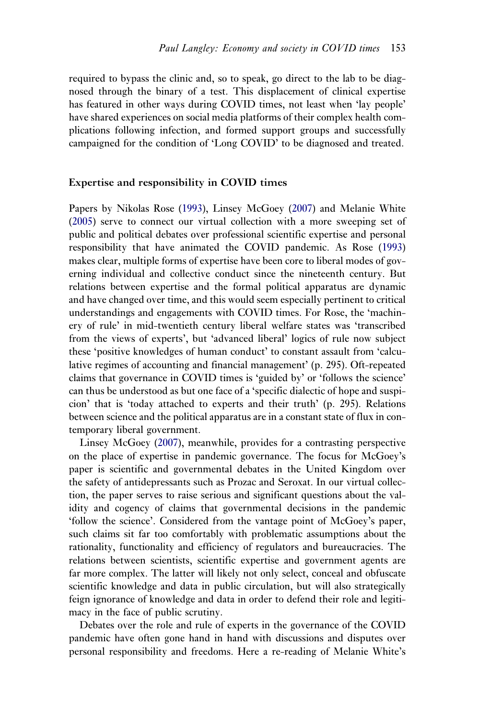required to bypass the clinic and, so to speak, go direct to the lab to be diagnosed through the binary of a test. This displacement of clinical expertise has featured in other ways during COVID times, not least when 'lay people' have shared experiences on social media platforms of their complex health complications following infection, and formed support groups and successfully campaigned for the condition of 'Long COVID' to be diagnosed and treated.

#### Expertise and responsibility in COVID times

Papers by Nikolas Rose (1993), Linsey McGoey (2007) and Melanie White (2005) serve to connect our virtual collection with a more sweeping set of public and political debates over professional scientific expertise and personal responsibility that have animated the COVID pandemic. As Rose (1993) makes clear, multiple forms of expertise have been core to liberal modes of governing individual and collective conduct since the nineteenth century. But relations between expertise and the formal political apparatus are dynamic and have changed over time, and this would seem especially pertinent to critical understandings and engagements with COVID times. For Rose, the 'machinery of rule' in mid-twentieth century liberal welfare states was 'transcribed from the views of experts', but 'advanced liberal' logics of rule now subject these 'positive knowledges of human conduct' to constant assault from 'calculative regimes of accounting and financial management' (p. 295). Oft-repeated claims that governance in COVID times is 'guided by' or 'follows the science' can thus be understood as but one face of a 'specific dialectic of hope and suspicion' that is 'today attached to experts and their truth' (p. 295). Relations between science and the political apparatus are in a constant state of flux in contemporary liberal government.

Linsey McGoey (2007), meanwhile, provides for a contrasting perspective on the place of expertise in pandemic governance. The focus for McGoey's paper is scientific and governmental debates in the United Kingdom over the safety of antidepressants such as Prozac and Seroxat. In our virtual collection, the paper serves to raise serious and significant questions about the validity and cogency of claims that governmental decisions in the pandemic 'follow the science'. Considered from the vantage point of McGoey's paper, such claims sit far too comfortably with problematic assumptions about the rationality, functionality and efficiency of regulators and bureaucracies. The relations between scientists, scientific expertise and government agents are far more complex. The latter will likely not only select, conceal and obfuscate scientific knowledge and data in public circulation, but will also strategically feign ignorance of knowledge and data in order to defend their role and legitimacy in the face of public scrutiny.

Debates over the role and rule of experts in the governance of the COVID pandemic have often gone hand in hand with discussions and disputes over personal responsibility and freedoms. Here a re-reading of Melanie White's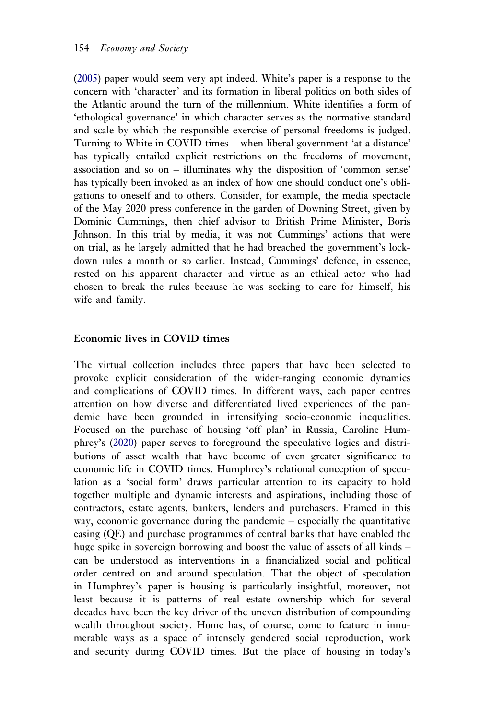(2005) paper would seem very apt indeed. White's paper is a response to the concern with 'character' and its formation in liberal politics on both sides of the Atlantic around the turn of the millennium. White identifies a form of 'ethological governance' in which character serves as the normative standard and scale by which the responsible exercise of personal freedoms is judged. Turning to White in COVID times – when liberal government 'at a distance' has typically entailed explicit restrictions on the freedoms of movement, association and so on – illuminates why the disposition of 'common sense' has typically been invoked as an index of how one should conduct one's obligations to oneself and to others. Consider, for example, the media spectacle of the May 2020 press conference in the garden of Downing Street, given by Dominic Cummings, then chief advisor to British Prime Minister, Boris Johnson. In this trial by media, it was not Cummings' actions that were on trial, as he largely admitted that he had breached the government's lockdown rules a month or so earlier. Instead, Cummings' defence, in essence, rested on his apparent character and virtue as an ethical actor who had chosen to break the rules because he was seeking to care for himself, his wife and family.

### Economic lives in COVID times

The virtual collection includes three papers that have been selected to provoke explicit consideration of the wider-ranging economic dynamics and complications of COVID times. In different ways, each paper centres attention on how diverse and differentiated lived experiences of the pandemic have been grounded in intensifying socio-economic inequalities. Focused on the purchase of housing 'off plan' in Russia, Caroline Humphrey's (2020) paper serves to foreground the speculative logics and distributions of asset wealth that have become of even greater significance to economic life in COVID times. Humphrey's relational conception of speculation as a 'social form' draws particular attention to its capacity to hold together multiple and dynamic interests and aspirations, including those of contractors, estate agents, bankers, lenders and purchasers. Framed in this way, economic governance during the pandemic – especially the quantitative easing (QE) and purchase programmes of central banks that have enabled the huge spike in sovereign borrowing and boost the value of assets of all kinds – can be understood as interventions in a financialized social and political order centred on and around speculation. That the object of speculation in Humphrey's paper is housing is particularly insightful, moreover, not least because it is patterns of real estate ownership which for several decades have been the key driver of the uneven distribution of compounding wealth throughout society. Home has, of course, come to feature in innumerable ways as a space of intensely gendered social reproduction, work and security during COVID times. But the place of housing in today's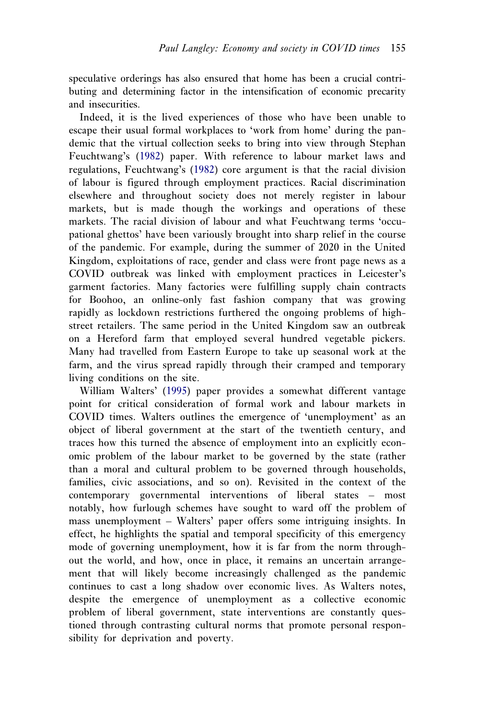speculative orderings has also ensured that home has been a crucial contributing and determining factor in the intensification of economic precarity and insecurities.

Indeed, it is the lived experiences of those who have been unable to escape their usual formal workplaces to 'work from home' during the pandemic that the virtual collection seeks to bring into view through Stephan Feuchtwang's (1982) paper. With reference to labour market laws and regulations, Feuchtwang's (1982) core argument is that the racial division of labour is figured through employment practices. Racial discrimination elsewhere and throughout society does not merely register in labour markets, but is made though the workings and operations of these markets. The racial division of labour and what Feuchtwang terms 'occupational ghettos' have been variously brought into sharp relief in the course of the pandemic. For example, during the summer of 2020 in the United Kingdom, exploitations of race, gender and class were front page news as a COVID outbreak was linked with employment practices in Leicester's garment factories. Many factories were fulfilling supply chain contracts for Boohoo, an online-only fast fashion company that was growing rapidly as lockdown restrictions furthered the ongoing problems of highstreet retailers. The same period in the United Kingdom saw an outbreak on a Hereford farm that employed several hundred vegetable pickers. Many had travelled from Eastern Europe to take up seasonal work at the farm, and the virus spread rapidly through their cramped and temporary living conditions on the site.

William Walters' (1995) paper provides a somewhat different vantage point for critical consideration of formal work and labour markets in COVID times. Walters outlines the emergence of 'unemployment' as an object of liberal government at the start of the twentieth century, and traces how this turned the absence of employment into an explicitly economic problem of the labour market to be governed by the state (rather than a moral and cultural problem to be governed through households, families, civic associations, and so on). Revisited in the context of the contemporary governmental interventions of liberal states – most notably, how furlough schemes have sought to ward off the problem of mass unemployment – Walters' paper offers some intriguing insights. In effect, he highlights the spatial and temporal specificity of this emergency mode of governing unemployment, how it is far from the norm throughout the world, and how, once in place, it remains an uncertain arrangement that will likely become increasingly challenged as the pandemic continues to cast a long shadow over economic lives. As Walters notes, despite the emergence of unemployment as a collective economic problem of liberal government, state interventions are constantly questioned through contrasting cultural norms that promote personal responsibility for deprivation and poverty.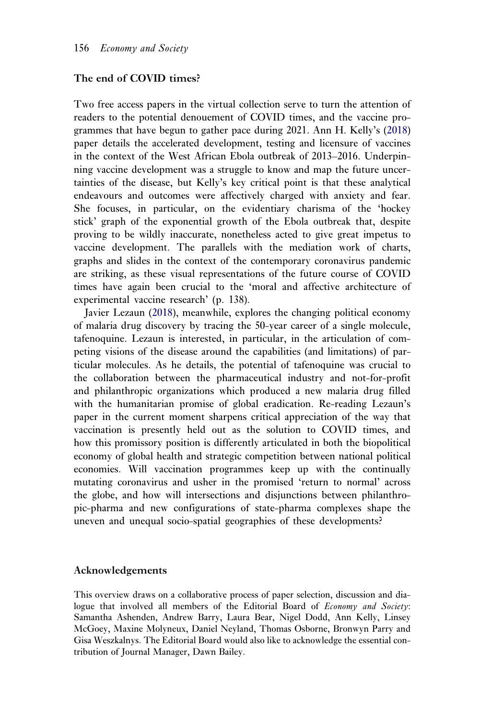### The end of COVID times?

Two free access papers in the virtual collection serve to turn the attention of readers to the potential denouement of COVID times, and the vaccine programmes that have begun to gather pace during 2021. Ann H. Kelly's (2018) paper details the accelerated development, testing and licensure of vaccines in the context of the West African Ebola outbreak of 2013–2016. Underpinning vaccine development was a struggle to know and map the future uncertainties of the disease, but Kelly's key critical point is that these analytical endeavours and outcomes were affectively charged with anxiety and fear. She focuses, in particular, on the evidentiary charisma of the 'hockey stick' graph of the exponential growth of the Ebola outbreak that, despite proving to be wildly inaccurate, nonetheless acted to give great impetus to vaccine development. The parallels with the mediation work of charts, graphs and slides in the context of the contemporary coronavirus pandemic are striking, as these visual representations of the future course of COVID times have again been crucial to the 'moral and affective architecture of experimental vaccine research' (p. 138).

Javier Lezaun (2018), meanwhile, explores the changing political economy of malaria drug discovery by tracing the 50-year career of a single molecule, tafenoquine. Lezaun is interested, in particular, in the articulation of competing visions of the disease around the capabilities (and limitations) of particular molecules. As he details, the potential of tafenoquine was crucial to the collaboration between the pharmaceutical industry and not-for-profit and philanthropic organizations which produced a new malaria drug filled with the humanitarian promise of global eradication. Re-reading Lezaun's paper in the current moment sharpens critical appreciation of the way that vaccination is presently held out as the solution to COVID times, and how this promissory position is differently articulated in both the biopolitical economy of global health and strategic competition between national political economies. Will vaccination programmes keep up with the continually mutating coronavirus and usher in the promised 'return to normal' across the globe, and how will intersections and disjunctions between philanthropic-pharma and new configurations of state-pharma complexes shape the uneven and unequal socio-spatial geographies of these developments?

### Acknowledgements

This overview draws on a collaborative process of paper selection, discussion and dialogue that involved all members of the Editorial Board of Economy and Society: Samantha Ashenden, Andrew Barry, Laura Bear, Nigel Dodd, Ann Kelly, Linsey McGoey, Maxine Molyneux, Daniel Neyland, Thomas Osborne, Bronwyn Parry and Gisa Weszkalnys. The Editorial Board would also like to acknowledge the essential contribution of Journal Manager, Dawn Bailey.